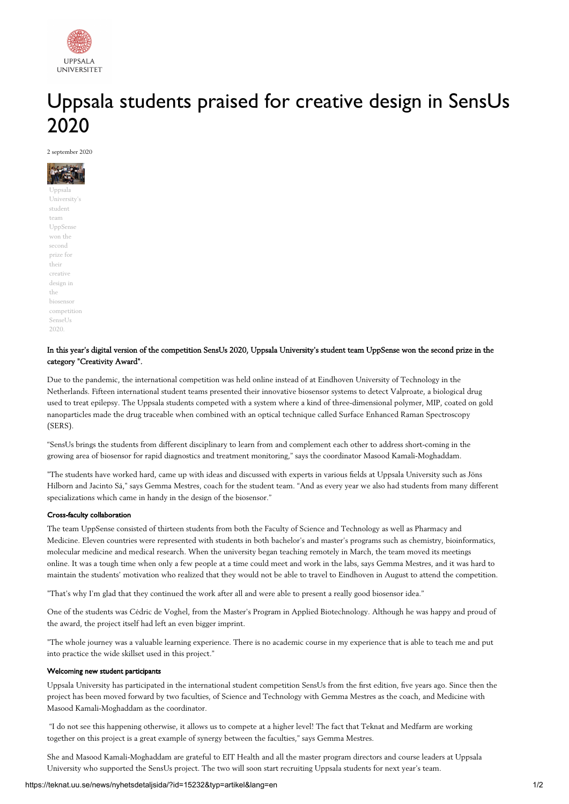

# Uppsala students praised for creative design in SensUs 2020

2 september 2020

Uppsala University's student team UppSense won the second prize for their creative design in the biosensor competition Sense<sub>Us</sub> 2020.

## In this year's digital version of the competition SensUs 2020, Uppsala University's student team UppSense won the second prize in the category "Creativity Award".

Due to the pandemic, the international competition was held online instead of at Eindhoven University of Technology in the Netherlands. Fifteen international student teams presented their innovative biosensor systems to detect Valproate, a biological drug used to treat epilepsy. The Uppsala students competed with a system where a kind of three-dimensional polymer, MIP, coated on gold nanoparticles made the drug traceable when combined with an optical technique called Surface Enhanced Raman Spectroscopy (SERS).

"SensUs brings the students from different disciplinary to learn from and complement each other to address short-coming in the growing area of biosensor for rapid diagnostics and treatment monitoring," says the coordinator Masood Kamali-Moghaddam.

"The students have worked hard, came up with ideas and discussed with experts in various fields at Uppsala University such as Jöns Hilborn and Jacinto Sá," says Gemma Mestres, coach for the student team. "And as every year we also had students from many different specializations which came in handy in the design of the biosensor."

### Cross-faculty collaboration

The team UppSense consisted of thirteen students from both the Faculty of Science and Technology as well as Pharmacy and Medicine. Eleven countries were represented with students in both bachelor's and master's programs such as chemistry, bioinformatics, molecular medicine and medical research. When the university began teaching remotely in March, the team moved its meetings online. It was a tough time when only a few people at a time could meet and work in the labs, says Gemma Mestres, and it was hard to maintain the students' motivation who realized that they would not be able to travel to Eindhoven in August to attend the competition.

"That's why I'm glad that they continued the work after all and were able to present a really good biosensor idea."

One of the students was Cédric de Voghel, from the Master's Program in Applied Biotechnology. Although he was happy and proud of the award, the project itself had left an even bigger imprint.

"The whole journey was a valuable learning experience. There is no academic course in my experience that is able to teach me and put into practice the wide skillset used in this project."

#### Welcoming new student participants

Uppsala University has participated in the international student competition SensUs from the first edition, five years ago. Since then the project has been moved forward by two faculties, of Science and Technology with Gemma Mestres as the coach, and Medicine with Masood Kamali-Moghaddam as the coordinator.

"I do not see this happening otherwise, it allows us to compete at a higher level! The fact that Teknat and Medfarm are working together on this project is a great example of synergy between the faculties," says Gemma Mestres.

She and Masood Kamali-Moghaddam are grateful to EIT Health and all the master program directors and course leaders at Uppsala University who supported the SensUs project. The two will soon start recruiting Uppsala students for next year's team.

#### https://teknat.uu.se/news/nyhetsdetaljsida/?id=15232&typ=artikel&lang=en 1/2